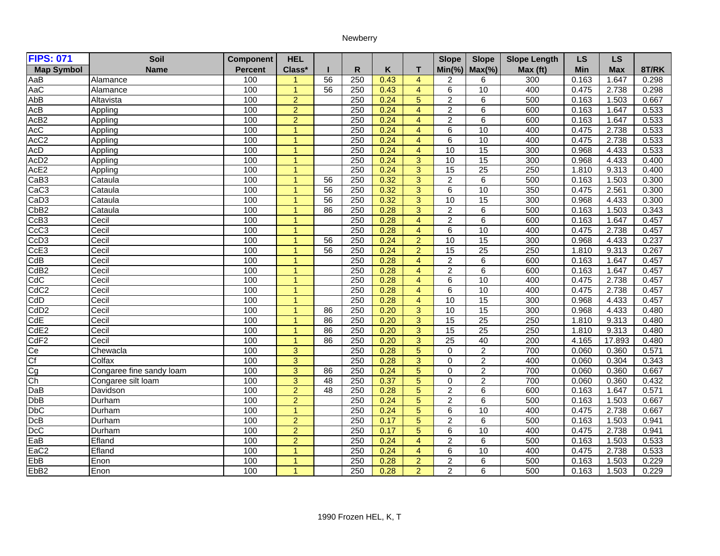## Newberry

| <b>FIPS: 071</b>  | Soil                     | <b>Component</b> | <b>HEL</b>           |                 |                  |      |                         | <b>Slope</b>    | <b>Slope</b>    | <b>Slope Length</b> | <b>LS</b> | <b>LS</b>  |       |
|-------------------|--------------------------|------------------|----------------------|-----------------|------------------|------|-------------------------|-----------------|-----------------|---------------------|-----------|------------|-------|
| <b>Map Symbol</b> | <b>Name</b>              | <b>Percent</b>   | Class*               |                 | $\mathsf{R}$     | K    | т                       | $Min(\% )$      | $Max(\% )$      | Max (ft)            | Min       | <b>Max</b> | 8T/RK |
| AaB               | Alamance                 | 100              | $\blacktriangleleft$ | 56              | 250              | 0.43 | $\overline{4}$          | 2               | 6               | 300                 | 0.163     | 1.647      | 0.298 |
| AaC               | Alamance                 | 100              | $\overline{1}$       | $\overline{56}$ | 250              | 0.43 | $\overline{4}$          | 6               | 10              | 400                 | 0.475     | 2.738      | 0.298 |
| AbB               | Altavista                | 100              | $\overline{2}$       |                 | 250              | 0.24 | 5                       | $\overline{2}$  | 6               | 500                 | 0.163     | 1.503      | 0.667 |
| AcB               | Appling                  | 100              | $\overline{2}$       |                 | 250              | 0.24 | $\overline{4}$          | $\overline{c}$  | 6               | 600                 | 0.163     | 1.647      | 0.533 |
| AcB <sub>2</sub>  | Appling                  | 100              | $\overline{2}$       |                 | 250              | 0.24 | $\overline{4}$          | $\overline{2}$  | 6               | 600                 | 0.163     | 1.647      | 0.533 |
| <b>AcC</b>        | Appling                  | 100              | $\mathbf{1}$         |                 | 250              | 0.24 | $\overline{\mathbf{4}}$ | 6               | 10              | 400                 | 0.475     | 2.738      | 0.533 |
| AcC <sub>2</sub>  | Appling                  | 100              | $\mathbf{1}$         |                 | 250              | 0.24 | $\overline{4}$          | 6               | 10              | 400                 | 0.475     | 2.738      | 0.533 |
| AcD               | Appling                  | 100              | $\mathbf{1}$         |                 | 250              | 0.24 | 4                       | 10              | 15              | 300                 | 0.968     | 4.433      | 0.533 |
| AcD <sub>2</sub>  | Appling                  | 100              | $\mathbf{1}$         |                 | 250              | 0.24 | 3                       | 10              | $\overline{15}$ | 300                 | 0.968     | 4.433      | 0.400 |
| AcE2              | Appling                  | 100              | $\overline{1}$       |                 | 250              | 0.24 | 3                       | 15              | $\overline{25}$ | 250                 | 1.810     | 9.313      | 0.400 |
| CaB3              | Cataula                  | 100              | $\mathbf{1}$         | 56              | 250              | 0.32 | 3                       | $\overline{2}$  | 6               | 500                 | 0.163     | 1.503      | 0.300 |
| CaC <sub>3</sub>  | Cataula                  | 100              | $\blacktriangleleft$ | 56              | $\overline{250}$ | 0.32 | 3                       | 6               | 10              | 350                 | 0.475     | 2.561      | 0.300 |
| CaD <sub>3</sub>  | Cataula                  | 100              | $\blacktriangleleft$ | 56              | 250              | 0.32 | $\overline{3}$          | 10              | 15              | 300                 | 0.968     | 4.433      | 0.300 |
| Cb <sub>B2</sub>  | Cataula                  | 100              | $\overline{1}$       | 86              | 250              | 0.28 | $\overline{3}$          | $\overline{2}$  | 6               | 500                 | 0.163     | 1.503      | 0.343 |
| CcB <sub>3</sub>  | Cecil                    | 100              | $\overline{1}$       |                 | 250              | 0.28 | $\overline{\mathbf{4}}$ | $\overline{2}$  | 6               | 600                 | 0.163     | 1.647      | 0.457 |
| CcC <sub>3</sub>  | Cecil                    | 100              | $\mathbf{1}$         |                 | $\overline{250}$ | 0.28 | $\overline{4}$          | 6               | 10              | 400                 | 0.475     | 2.738      | 0.457 |
| CcD <sub>3</sub>  | Cecil                    | 100              | $\mathbf{1}$         | 56              | 250              | 0.24 | $\overline{2}$          | 10              | 15              | 300                 | 0.968     | 4.433      | 0.237 |
| CcE <sub>3</sub>  | Cecil                    | 100              | $\overline{1}$       | $\overline{56}$ | 250              | 0.24 | $\overline{2}$          | $\overline{15}$ | $\overline{25}$ | 250                 | 1.810     | 9.313      | 0.267 |
| CdB               | Cecil                    | 100              | $\overline{1}$       |                 | 250              | 0.28 | $\overline{4}$          | $\overline{2}$  | 6               | 600                 | 0.163     | 1.647      | 0.457 |
| CdB <sub>2</sub>  | Cecil                    | 100              | $\overline{1}$       |                 | 250              | 0.28 | $\overline{4}$          | $\overline{2}$  | 6               | 600                 | 0.163     | 1.647      | 0.457 |
| CdC               | Cecil                    | 100              | $\blacktriangleleft$ |                 | 250              | 0.28 | $\overline{4}$          | 6               | $\overline{10}$ | 400                 | 0.475     | 2.738      | 0.457 |
| CdC <sub>2</sub>  | Cecil                    | 100              | $\mathbf{1}$         |                 | 250              | 0.28 | $\overline{4}$          | 6               | 10              | 400                 | 0.475     | 2.738      | 0.457 |
| CdD               | Cecil                    | 100              | $\blacktriangleleft$ |                 | 250              | 0.28 | $\overline{4}$          | 10              | 15              | 300                 | 0.968     | 4.433      | 0.457 |
| CdD <sub>2</sub>  | Cecil                    | 100              | $\mathbf{1}$         | 86              | 250              | 0.20 | 3                       | 10              | 15              | 300                 | 0.968     | 4.433      | 0.480 |
| CdE               | Cecil                    | 100              | $\mathbf{1}$         | $\overline{86}$ | 250              | 0.20 | $\overline{3}$          | $\overline{15}$ | $\overline{25}$ | 250                 | 1.810     | 9.313      | 0.480 |
| CdE <sub>2</sub>  | Cecil                    | 100              | $\blacktriangleleft$ | 86              | 250              | 0.20 | $\overline{3}$          | 15              | 25              | 250                 | 1.810     | 9.313      | 0.480 |
| CdF2              | Cecil                    | 100              | $\overline{1}$       | 86              | 250              | 0.20 | $\overline{3}$          | $\overline{25}$ | 40              | $\overline{200}$    | 4.165     | 17.893     | 0.480 |
| Сe                | Chewacla                 | 100              | $\overline{3}$       |                 | 250              | 0.28 | 5                       | $\Omega$        | $\overline{2}$  | 700                 | 0.060     | 0.360      | 0.571 |
| $\overline{Cf}$   | Colfax                   | 100              | $\overline{3}$       |                 | 250              | 0.28 | 3                       | $\Omega$        | $\overline{2}$  | 400                 | 0.060     | 0.304      | 0.343 |
| cold<br>Col       | Congaree fine sandy loam | 100              | $\overline{3}$       | 86              | 250              | 0.24 | 5                       | $\Omega$        | $\overline{2}$  | 700                 | 0.060     | 0.360      | 0.667 |
|                   | Congaree silt loam       | 100              | $\overline{3}$       | 48              | 250              | 0.37 | 5                       | $\Omega$        | $\overline{2}$  | 700                 | 0.060     | 0.360      | 0.432 |
| DaB               | Davidson                 | 100              | $\overline{2}$       | $\overline{48}$ | 250              | 0.28 | 5                       | $\overline{c}$  | 6               | 600                 | 0.163     | 1.647      | 0.571 |
| <b>DbB</b>        | Durham                   | 100              | $\overline{2}$       |                 | 250              | 0.24 | 5                       | $\overline{2}$  | 6               | 500                 | 0.163     | 1.503      | 0.667 |
| <b>DbC</b>        | Durham                   | 100              | $\mathbf{1}$         |                 | 250              | 0.24 | 5                       | 6               | 10              | 400                 | 0.475     | 2.738      | 0.667 |
| DcB               | Durham                   | 100              | $\overline{2}$       |                 | 250              | 0.17 | 5                       | $\overline{2}$  | 6               | 500                 | 0.163     | 1.503      | 0.941 |
| <b>DcC</b>        | Durham                   | 100              | $\overline{2}$       |                 | 250              | 0.17 | 5                       | 6               | 10              | 400                 | 0.475     | 2.738      | 0.941 |
| EaB               | Efland                   | 100              | $\overline{2}$       |                 | 250              | 0.24 | $\overline{4}$          | $\overline{2}$  | 6               | 500                 | 0.163     | 1.503      | 0.533 |
| EaC <sub>2</sub>  | Efland                   | 100              | $\mathbf{1}$         |                 | 250              | 0.24 | $\overline{4}$          | 6               | 10              | 400                 | 0.475     | 2.738      | 0.533 |
| EbB               | Enon                     | 100              | $\mathbf{1}$         |                 | 250              | 0.28 | $\overline{2}$          | $\overline{2}$  | 6               | 500                 | 0.163     | 1.503      | 0.229 |
| EbB <sub>2</sub>  | Enon                     | 100              | $\overline{1}$       |                 | 250              | 0.28 | $\overline{2}$          | $\overline{2}$  | 6               | 500                 | 0.163     | 1.503      | 0.229 |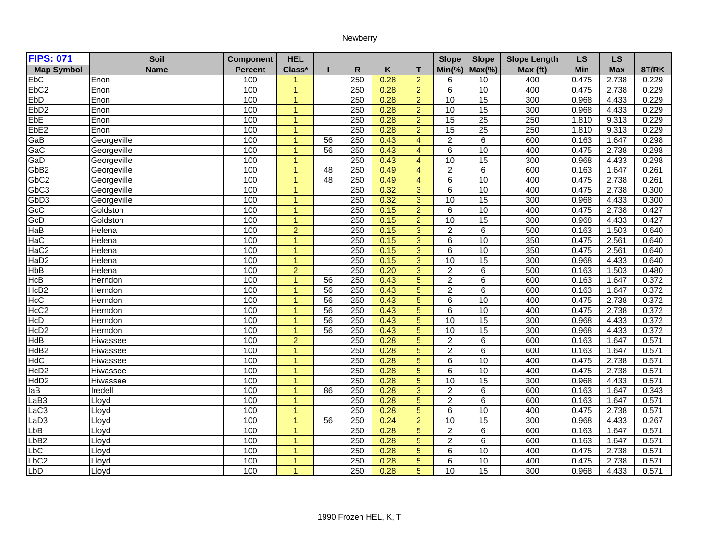## Newberry

| <b>FIPS: 071</b>  | Soil            | <b>Component</b> | <b>HEL</b>           |                 |                  |      |                 | <b>Slope</b>    | <b>Slope</b>    | <b>Slope Length</b> | <b>LS</b> | <b>LS</b>  |       |
|-------------------|-----------------|------------------|----------------------|-----------------|------------------|------|-----------------|-----------------|-----------------|---------------------|-----------|------------|-------|
| <b>Map Symbol</b> | <b>Name</b>     | <b>Percent</b>   | Class*               |                 | $\mathsf{R}$     | K    | T.              | $Min(\% )$      | $Max(\% )$      | Max (ft)            | Min       | <b>Max</b> | 8T/RK |
| <b>EbC</b>        | Enon            | 100              | 1                    |                 | 250              | 0.28 | $\overline{2}$  | 6               | 10              | 400                 | 0.475     | 2.738      | 0.229 |
| EbC <sub>2</sub>  | Enon            | 100              | $\overline{1}$       |                 | 250              | 0.28 | $\overline{2}$  | 6               | 10              | 400                 | 0.475     | 2.738      | 0.229 |
| <b>EbD</b>        | Enon            | 100              | $\overline{1}$       |                 | 250              | 0.28 | $\overline{2}$  | 10              | 15              | 300                 | 0.968     | 4.433      | 0.229 |
| Eb <sub>D2</sub>  | Enon            | 100              | $\blacktriangleleft$ |                 | 250              | 0.28 | $\overline{2}$  | 10              | 15              | 300                 | 0.968     | 4.433      | 0.229 |
| EbE               | Enon            | 100              | $\overline{1}$       |                 | 250              | 0.28 | $\overline{2}$  | $\overline{15}$ | $\overline{25}$ | 250                 | 1.810     | 9.313      | 0.229 |
| EbE <sub>2</sub>  | Enon            | 100              | $\blacktriangleleft$ |                 | 250              | 0.28 | 2               | $\overline{15}$ | $\overline{25}$ | 250                 | 1.810     | 9.313      | 0.229 |
| GaB               | Georgeville     | 100              | $\overline{1}$       | 56              | 250              | 0.43 | $\overline{4}$  | $\overline{2}$  | 6               | 600                 | 0.163     | 1.647      | 0.298 |
| GaC               | Georgeville     | 100              | $\blacktriangleleft$ | 56              | 250              | 0.43 | $\overline{4}$  | 6               | 10              | 400                 | 0.475     | 2.738      | 0.298 |
| GaD               | Georgeville     | 100              | $\overline{1}$       |                 | 250              | 0.43 | $\overline{4}$  | 10              | $\overline{15}$ | 300                 | 0.968     | 4.433      | 0.298 |
| GbB <sub>2</sub>  | Georgeville     | 100              | $\blacktriangleleft$ | 48              | 250              | 0.49 | $\overline{4}$  | $\overline{2}$  | 6               | 600                 | 0.163     | 1.647      | 0.261 |
| GbC <sub>2</sub>  | Georgeville     | 100              | $\overline{1}$       | $\overline{48}$ | 250              | 0.49 | $\overline{4}$  | 6               | 10              | 400                 | 0.475     | 2.738      | 0.261 |
| GbC <sub>3</sub>  | Georgeville     | 100              | $\overline{1}$       |                 | 250              | 0.32 | 3               | 6               | 10              | 400                 | 0.475     | 2.738      | 0.300 |
| GbD <sub>3</sub>  | Georgeville     | 100              | $\overline{1}$       |                 | 250              | 0.32 | $\overline{3}$  | 10              | 15              | 300                 | 0.968     | 4.433      | 0.300 |
| GcC               | Goldston        | 100              | $\overline{1}$       |                 | 250              | 0.15 | $\overline{2}$  | 6               | 10              | 400                 | 0.475     | 2.738      | 0.427 |
| GcD               | Goldston        | 100              | $\overline{1}$       |                 | 250              | 0.15 | $\overline{2}$  | 10              | 15              | 300                 | 0.968     | 4.433      | 0.427 |
| HaB               | Helena          | 100              | $\overline{2}$       |                 | 250              | 0.15 | 3               | $\overline{c}$  | 6               | 500                 | 0.163     | 1.503      | 0.640 |
| HaC               | Helena          | 100              | $\overline{1}$       |                 | 250              | 0.15 | $\overline{3}$  | 6               | 10              | 350                 | 0.475     | 2.561      | 0.640 |
| HaC <sub>2</sub>  | Helena          | 100              | $\overline{1}$       |                 | $\overline{250}$ | 0.15 | 3               | 6               | 10              | 350                 | 0.475     | 2.561      | 0.640 |
| HaD <sub>2</sub>  | <b>Helena</b>   | 100              | $\overline{1}$       |                 | 250              | 0.15 | 3               | 10              | 15              | 300                 | 0.968     | 4.433      | 0.640 |
| HbB               | Helena          | 100              | $\overline{2}$       |                 | 250              | 0.20 | 3               | $\overline{2}$  | 6               | 500                 | 0.163     | 1.503      | 0.480 |
| <b>HcB</b>        | Herndon         | 100              | $\blacktriangleleft$ | 56              | 250              | 0.43 | 5               | $\overline{c}$  | 6               | 600                 | 0.163     | 1.647      | 0.372 |
| HcB <sub>2</sub>  | Herndon         | 100              | $\overline{1}$       | 56              | 250              | 0.43 | 5               | $\overline{2}$  | 6               | 600                 | 0.163     | 1.647      | 0.372 |
| <b>HcC</b>        | Herndon         | 100              | $\overline{1}$       | 56              | 250              | 0.43 | $\overline{5}$  | $\overline{6}$  | 10              | 400                 | 0.475     | 2.738      | 0.372 |
| HcC <sub>2</sub>  | Herndon         | 100              | $\overline{1}$       | 56              | 250              | 0.43 | 5               | 6               | 10              | 400                 | 0.475     | 2.738      | 0.372 |
| HCD               | Herndon         | 100              | $\blacktriangleleft$ | $\overline{56}$ | 250              | 0.43 | $\overline{5}$  | 10              | $\overline{15}$ | 300                 | 0.968     | 4.433      | 0.372 |
| HcD <sub>2</sub>  | Herndon         | 100              | $\overline{1}$       | 56              | 250              | 0.43 | $5\phantom{.0}$ | 10              | 15              | 300                 | 0.968     | 4.433      | 0.372 |
| <b>HdB</b>        | Hiwassee        | 100              | $\overline{2}$       |                 | 250              | 0.28 | $\overline{5}$  | $\overline{2}$  | $\overline{6}$  | 600                 | 0.163     | 1.647      | 0.571 |
| HdB <sub>2</sub>  | <b>Hiwassee</b> | 100              | $\overline{1}$       |                 | 250              | 0.28 | $5\phantom{.0}$ | $\overline{2}$  | 6               | 600                 | 0.163     | 1.647      | 0.571 |
| <b>HdC</b>        | Hiwassee        | 100              | $\overline{1}$       |                 | 250              | 0.28 | $\overline{5}$  | 6               | 10              | 400                 | 0.475     | 2.738      | 0.571 |
| HcD <sub>2</sub>  | Hiwassee        | 100              | $\blacktriangleleft$ |                 | 250              | 0.28 | $5\phantom{.0}$ | 6               | 10              | 400                 | 0.475     | 2.738      | 0.571 |
| HdD <sub>2</sub>  | Hiwassee        | 100              | $\overline{1}$       |                 | 250              | 0.28 | 5               | 10              | 15              | 300                 | 0.968     | 4.433      | 0.571 |
| $l$ aB            | Iredell         | 100              | $\overline{1}$       | 86              | 250              | 0.28 | 3               | $\overline{2}$  | $\overline{6}$  | 600                 | 0.163     | 1.647      | 0.343 |
| aB3               | Lloyd           | 100              | $\overline{1}$       |                 | 250              | 0.28 | 5               | 2               | 6               | 600                 | 0.163     | 1.647      | 0.571 |
| LaC3              | Lloyd           | 100              | $\overline{1}$       |                 | 250              | 0.28 | $\overline{5}$  | 6               | $\overline{10}$ | 400                 | 0.475     | 2.738      | 0.571 |
| LaD3              | Lloyd           | 100              | $\overline{1}$       | 56              | 250              | 0.24 | $\overline{2}$  | 10              | 15              | 300                 | 0.968     | 4.433      | 0.267 |
| $_{\text{bB}}$    | Lloyd           | 100              | $\overline{1}$       |                 | $\overline{250}$ | 0.28 | 5               | $\overline{2}$  | $\overline{6}$  | 600                 | 0.163     | 1.647      | 0.571 |
| LbB2              | Lloyd           | 100              | $\mathbf{1}$         |                 | 250              | 0.28 | 5               | $\overline{2}$  | 6               | 600                 | 0.163     | 1.647      | 0.571 |
| bc                | Lloyd           | 100              | $\overline{1}$       |                 | 250              | 0.28 | $\overline{5}$  | 6               | 10              | 400                 | 0.475     | 2.738      | 0.571 |
| LbC2              | Lloyd           | 100              | $\overline{1}$       |                 | 250              | 0.28 | 5               | 6               | 10              | 400                 | 0.475     | 2.738      | 0.571 |
| LbD               | Lloyd           | 100              | $\overline{1}$       |                 | 250              | 0.28 | 5               | 10              | 15              | 300                 | 0.968     | 4.433      | 0.571 |